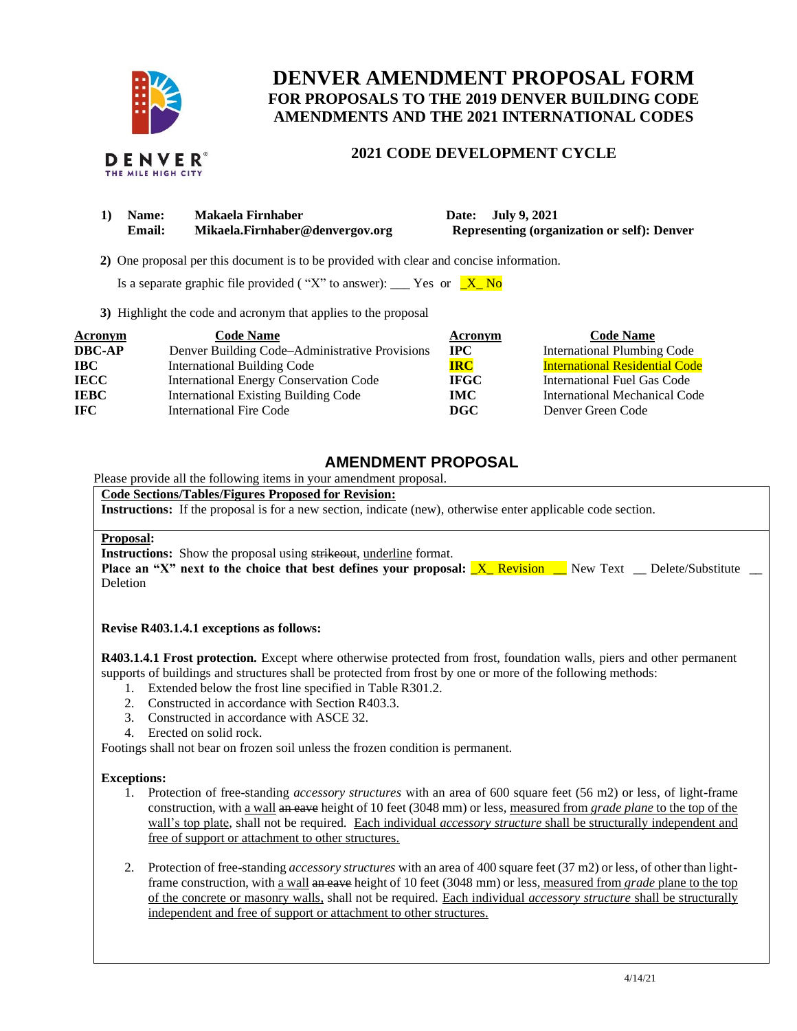

THE MILE HIGH CITY

# **DENVER AMENDMENT PROPOSAL FORM FOR PROPOSALS TO THE 2019 DENVER BUILDING CODE AMENDMENTS AND THE 2021 INTERNATIONAL CODES**

# **2021 CODE DEVELOPMENT CYCLE**

| 1) | <b>Name:</b> | Makaela Firnhaber               |
|----|--------------|---------------------------------|
|    | Email:       | Mikaela.Firnhaber@denvergov.org |

**1) Date: July 9, 2021 Representing (organization or self): Denver** 

 **2)** One proposal per this document is to be provided with clear and concise information.

Is a separate graphic file provided ("X" to answer): \_\_\_ Yes or  $X_N$  No

**3)** Highlight the code and acronym that applies to the proposal

| Acronym       | <b>Code Name</b>                               | Acronym      | <b>Code Name</b>                      |
|---------------|------------------------------------------------|--------------|---------------------------------------|
| <b>DBC-AP</b> | Denver Building Code-Administrative Provisions | $_{\rm IPC}$ | International Plumbing Code           |
| <b>IBC</b>    | International Building Code                    | <b>IRC</b>   | <b>International Residential Code</b> |
| <b>IECC</b>   | <b>International Energy Conservation Code</b>  | <b>IFGC</b>  | International Fuel Gas Code           |
| <b>IEBC</b>   | <b>International Existing Building Code</b>    | <b>IMC</b>   | International Mechanical Code         |
| <b>IFC</b>    | <b>International Fire Code</b>                 | DGC          | Denver Green Code                     |

# **AMENDMENT PROPOSAL**

Please provide all the following items in your amendment proposal.

## **Code Sections/Tables/Figures Proposed for Revision:**

**Instructions:** If the proposal is for a new section, indicate (new), otherwise enter applicable code section.

### **Proposal:**

**Instructions:** Show the proposal using strikeout, underline format.

**Place an "X" next to the choice that best defines your proposal: <u>X\_ Revision</u> \_\_ New Text \_\_ Delete/Substitute \_\_** Deletion

### **Revise R403.1.4.1 exceptions as follows:**

**R403.1.4.1 Frost protection.** Except where otherwise protected from frost, foundation walls, piers and other permanent supports of buildings and structures shall be protected from frost by one or more of the following methods:

- 1. Extended below the frost line specified in Table R301.2.
- 2. Constructed in accordance with Section R403.3.
- 3. Constructed in accordance with ASCE 32.
- 4. Erected on solid rock.

Footings shall not bear on frozen soil unless the frozen condition is permanent.

#### **Exceptions:**

- 1. Protection of free-standing *accessory structures* with an area of 600 square feet (56 m2) or less, of light-frame construction, with a wall an eave height of 10 feet (3048 mm) or less, measured from *grade plane* to the top of the wall's top plate, shall not be required. Each individual *accessory structure* shall be structurally independent and free of support or attachment to other structures.
- 2. Protection of free-standing *accessory structures* with an area of 400 square feet (37 m2) or less, of other than lightframe construction, with a wall an eave height of 10 feet (3048 mm) or less, measured from *grade* plane to the top of the concrete or masonry walls, shall not be required. Each individual *accessory structure* shall be structurally independent and free of support or attachment to other structures.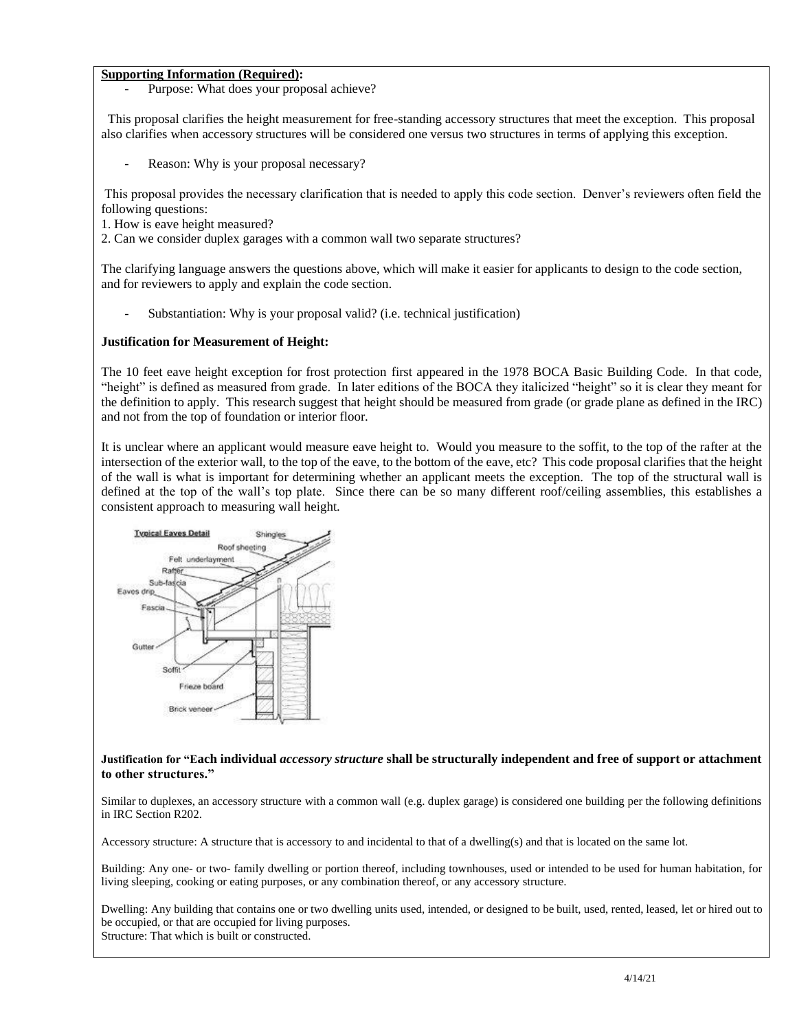# **Supporting Information (Required):**

Purpose: What does your proposal achieve?

 This proposal clarifies the height measurement for free-standing accessory structures that meet the exception. This proposal also clarifies when accessory structures will be considered one versus two structures in terms of applying this exception.

Reason: Why is your proposal necessary?

This proposal provides the necessary clarification that is needed to apply this code section. Denver's reviewers often field the following questions:

- 1. How is eave height measured?
- 2. Can we consider duplex garages with a common wall two separate structures?

The clarifying language answers the questions above, which will make it easier for applicants to design to the code section, and for reviewers to apply and explain the code section.

Substantiation: Why is your proposal valid? (i.e. technical justification)

### **Justification for Measurement of Height:**

The 10 feet eave height exception for frost protection first appeared in the 1978 BOCA Basic Building Code. In that code, "height" is defined as measured from grade. In later editions of the BOCA they italicized "height" so it is clear they meant for the definition to apply. This research suggest that height should be measured from grade (or grade plane as defined in the IRC) and not from the top of foundation or interior floor.

It is unclear where an applicant would measure eave height to. Would you measure to the soffit, to the top of the rafter at the intersection of the exterior wall, to the top of the eave, to the bottom of the eave, etc? This code proposal clarifies that the height of the wall is what is important for determining whether an applicant meets the exception. The top of the structural wall is defined at the top of the wall's top plate. Since there can be so many different roof/ceiling assemblies, this establishes a consistent approach to measuring wall height.



#### **Justification for "Each individual** *accessory structure* **shall be structurally independent and free of support or attachment to other structures."**

Similar to duplexes, an accessory structure with a common wall (e.g. duplex garage) is considered one building per the following definitions in IRC Section R202.

Accessory structure: A structure that is accessory to and incidental to that of a dwelling(s) and that is located on the same lot.

Building: Any one- or two- family dwelling or portion thereof, including townhouses, used or intended to be used for human habitation, for living sleeping, cooking or eating purposes, or any combination thereof, or any accessory structure.

Dwelling: Any building that contains one or two dwelling units used, intended, or designed to be built, used, rented, leased, let or hired out to be occupied, or that are occupied for living purposes. Structure: That which is built or constructed.